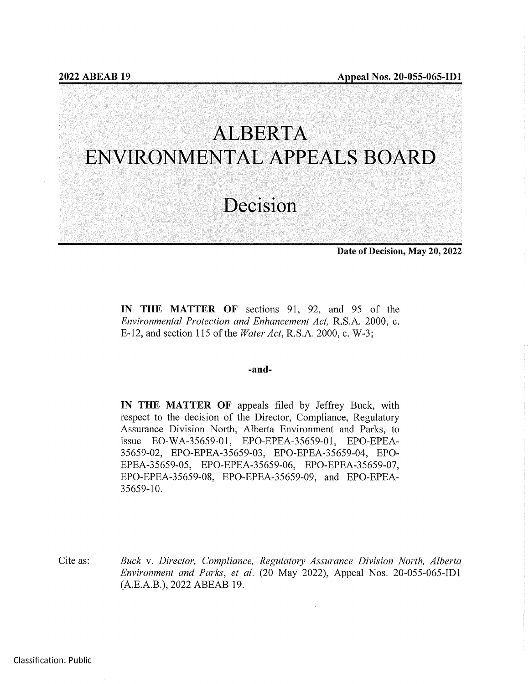# ALBERTA ENVIRONMENTAL APPEALS BOARD

## Decision

Date of Decision, May 20, 2022

IN THE MATTER OF sections 91, 92, and 95 of the Environmental Protection and Enhancement Act, R.S.A. 2000, c. E-12, and section 115 of the Water Act, R.S.A. 2000, c. W-3;

#### -and-

IN THE MATTER OF appeals filed by Jeffrey Buck, with respect to the decision of the Director, Compliance, Regulatory Assurance Division North, Alberta Environment and Parks, to issue EO-WA-3 5659-01, EPO-EPEA-35659-01, EPO-EPEA-35659-02, EPO-EPEA-3 5659-03, EPO-EPEA-3 5659-04, EPO-EPEA-35659-05, EPO-EPEA-35659-06, EPO-EPEA-35659-07, EPO-EPEA-35659-08, EPO-EPEA-35659-09, and EPO-EPEA-35659-10.

Cite as: Buck v. Director, Compliance, Regulatory Assurance Division North, Alberta Environment and Parks, et al. (20 May 2022), Appeal Nos. 20-055-065-ID1 (A.E.A.B.), 2022 ABEAB 19.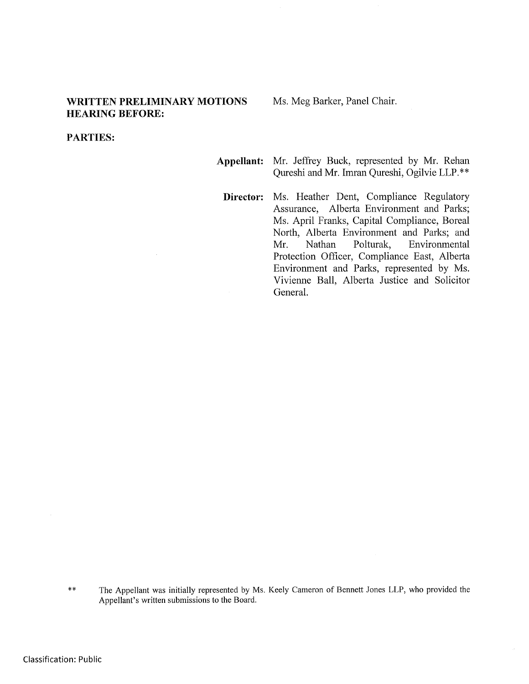#### WRITTEN PRELIMINARY MOTIONS **HEARING BEFORE:**

Ms. Meg Barker, Panel Chair.

#### PARTIES:

- Appellant: Mr. Jeffrey Buck, represented by Mr. Rehan Qureshi and Mr. Imran Qureshi, Ogilvie LLP.\*\*
	- Director: Ms. Heather Dent, Compliance Regulatory Assurance, Alberta Environment and Parks; Ms. April Franks, Capital Compliance, Boreal North, Alberta Environment and Parks; and Mr. Nathan Polturak, Environmental Protection Officer, Compliance East, Alberta Environment and Parks, represented by Ms. Vivienne Ball, Alberta Justice and Solicitor General.

 $***$ The Appellant was initially represented by Ms. Keely Cameron of Bennett Jones LLP, who provided the Appellant's written submissions to the Board.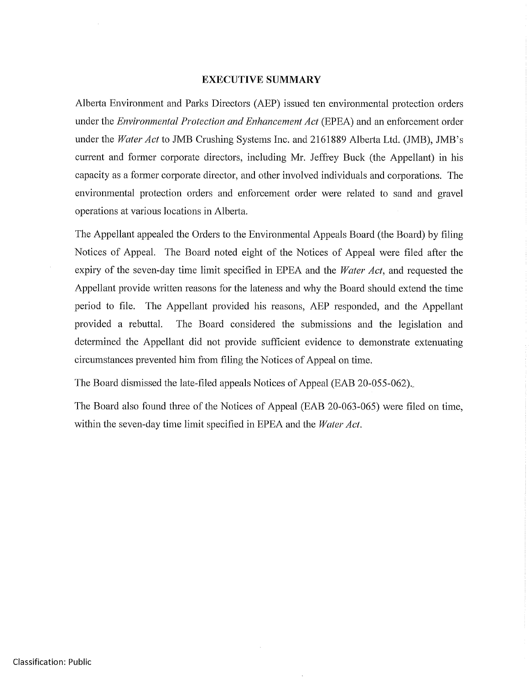#### EXECUTIVE SUMMARY

Alberta Environment and Parks Directors (AEP) issued ten environmental protection orders under the Environmental Protection and Enhancement Act (EPEA) and an enforcement order under the Water Act to JMB Crushing Systems Inc. and 2161889 Alberta Ltd. (JMB), JMB's current and former corporate directors, including Mr. Jeffrey Buck (the Appellant) in his capacity as a former corporate director, and other involved individuals and corporations. The environmental protection orders and enforcement order were related to sand and gravel operations at various locations in Alberta.

The Appellant appealed the Orders to the Environmental Appeals Board (the Board) by filing Notices of Appeal. The Board noted eight of the Notices of Appeal were filed after the expiry of the seven-day time limit specified in EPEA and the *Water Act*, and requested the Appellant provide written reasons for the lateness and why the Board should extend the time period to file. The Appellant provided his reasons, AEP responded, and the Appellant provided a rebuttal. The Board considered the submissions and the legislation and determined the Appellant did not provide sufficient evidence to demonstrate extenuating circumstances prevented him from filing the Notices of Appeal on time.

The Board dismissed the late-filed appeals Notices of Appeal (EAB 20-055-062)..

The Board also found three of the Notices of Appeal (EAB 20-063-065) were filed on time, within the seven-day time limit specified in EPEA and the *Water Act*.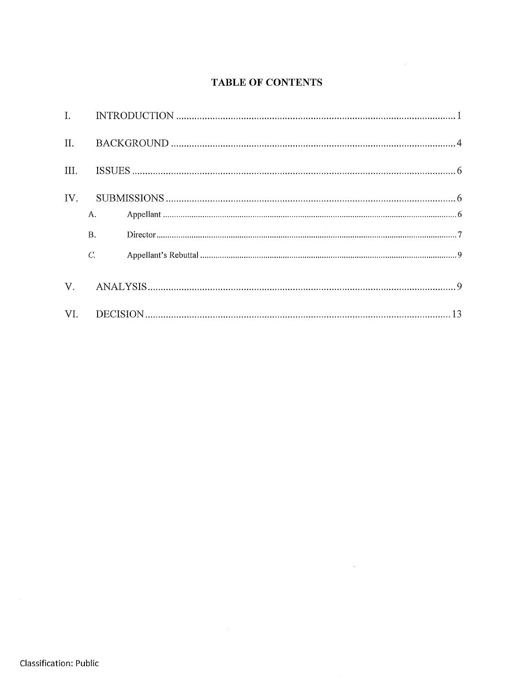## **TABLE OF CONTENTS**

 $\mathcal{L}(\mathcal{A})$  . The  $\mathcal{L}(\mathcal{A})$ 

| А.          |  |  |  |
|-------------|--|--|--|
| <b>B.</b>   |  |  |  |
| $C_{\cdot}$ |  |  |  |
|             |  |  |  |
|             |  |  |  |
|             |  |  |  |

 $\mathcal{L}^{\text{max}}_{\text{max}}$  and  $\mathcal{L}^{\text{max}}_{\text{max}}$ 

 $\sim 10^{-1}$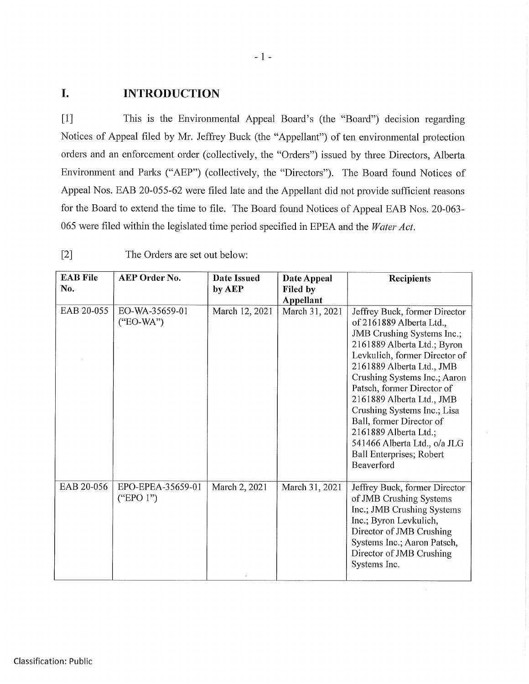## I. INTRODUCTION

[1] This is the Environmental Appeal Board's (the "Board") decision regarding Notices of Appeal filed by Mr. Jeffrey Buck (the "Appellant") of ten environmental protection orders and an enforcement order (collectively, the "Orders") issued by three Directors, Alberta Environment and Parks ("AEP") (collectively, the "Directors"). The Board found Notices of Appeal Nos. EAB 20-055-62 were filed late and the Appellant did not provide sufficient reasons for the Board to extend the time to file. The Board found Notices of Appeal EAB Nos. 20-063- 065 were filed within the legislated time period specified in EPEA and the Water Act.

| <b>EAB File</b><br>No. | AEP Order No.                  | <b>Date Issued</b><br>by AEP | Date Appeal<br>Filed by<br><b>Appellant</b> | Recipients                                                                                                                                                                                                                                                                                                                                                                                                                                           |
|------------------------|--------------------------------|------------------------------|---------------------------------------------|------------------------------------------------------------------------------------------------------------------------------------------------------------------------------------------------------------------------------------------------------------------------------------------------------------------------------------------------------------------------------------------------------------------------------------------------------|
| EAB 20-055             | EO-WA-35659-01<br>$("EO-WA")$  | March 12, 2021               | March 31, 2021                              | Jeffrey Buck, former Director<br>of 2161889 Alberta Ltd.,<br>JMB Crushing Systems Inc.;<br>2161889 Alberta Ltd.; Byron<br>Levkulich, former Director of<br>2161889 Alberta Ltd., JMB<br>Crushing Systems Inc.; Aaron<br>Patsch, former Director of<br>2161889 Alberta Ltd., JMB<br>Crushing Systems Inc.; Lisa<br>Ball, former Director of<br>2161889 Alberta Ltd.;<br>541466 Alberta Ltd., o/a JLG<br><b>Ball Enterprises; Robert</b><br>Beaverford |
| EAB 20-056             | EPO-EPEA-35659-01<br>("EPO 1") | March 2, 2021                | March 31, 2021                              | Jeffrey Buck, former Director<br>of JMB Crushing Systems<br>Inc.; JMB Crushing Systems<br>Inc.; Byron Levkulich,<br>Director of JMB Crushing<br>Systems Inc.; Aaron Patsch,<br>Director of JMB Crushing<br>Systems Inc.                                                                                                                                                                                                                              |

[2] The Orders are set out below: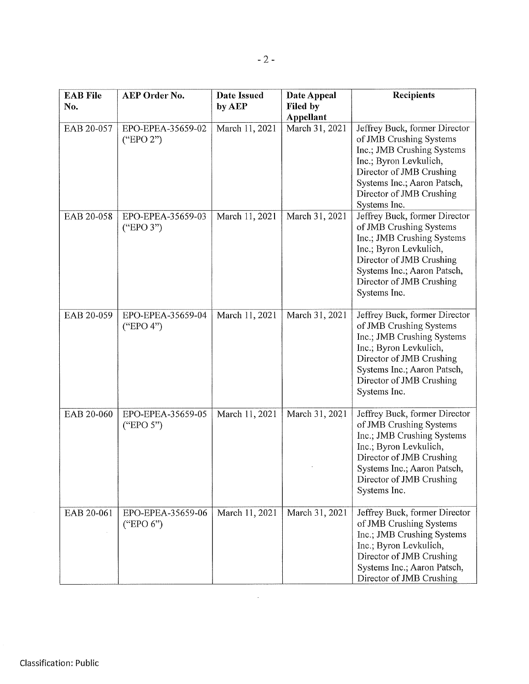| <b>EAB File</b><br>No. | AEP Order No.                  | Date Issued<br>by AEP | Date Appeal<br>Filed by     | <b>Recipients</b>                                                                                                                                                                                                       |
|------------------------|--------------------------------|-----------------------|-----------------------------|-------------------------------------------------------------------------------------------------------------------------------------------------------------------------------------------------------------------------|
| EAB 20-057             | EPO-EPEA-35659-02<br>("EPO 2") | March 11, 2021        | Appellant<br>March 31, 2021 | Jeffrey Buck, former Director<br>of JMB Crushing Systems<br>Inc.; JMB Crushing Systems<br>Inc.; Byron Levkulich,<br>Director of JMB Crushing<br>Systems Inc.; Aaron Patsch,<br>Director of JMB Crushing<br>Systems Inc. |
| EAB 20-058             | EPO-EPEA-35659-03<br>("EPO 3") | March 11, 2021        | March 31, 2021              | Jeffrey Buck, former Director<br>of JMB Crushing Systems<br>Inc.; JMB Crushing Systems<br>Inc.; Byron Levkulich,<br>Director of JMB Crushing<br>Systems Inc.; Aaron Patsch,<br>Director of JMB Crushing<br>Systems Inc. |
| EAB 20-059             | EPO-EPEA-35659-04<br>("EPO 4") | March 11, 2021        | March 31, 2021              | Jeffrey Buck, former Director<br>of JMB Crushing Systems<br>Inc.; JMB Crushing Systems<br>Inc.; Byron Levkulich,<br>Director of JMB Crushing<br>Systems Inc.; Aaron Patsch,<br>Director of JMB Crushing<br>Systems Inc. |
| EAB 20-060             | EPO-EPEA-35659-05<br>("EPO 5") | March 11, 2021        | March 31, 2021              | Jeffrey Buck, former Director<br>of JMB Crushing Systems<br>Inc.; JMB Crushing Systems<br>Inc.; Byron Levkulich,<br>Director of JMB Crushing<br>Systems Inc.; Aaron Patsch,<br>Director of JMB Crushing<br>Systems Inc. |
| EAB 20-061             | EPO-EPEA-35659-06<br>("EPO 6") | March 11, 2021        | March 31, 2021              | Jeffrey Buck, former Director<br>of JMB Crushing Systems<br>Inc.; JMB Crushing Systems<br>Inc.; Byron Levkulich,<br>Director of JMB Crushing<br>Systems Inc.; Aaron Patsch,<br>Director of JMB Crushing                 |

 $\mathcal{L}(\mathcal{A})$  .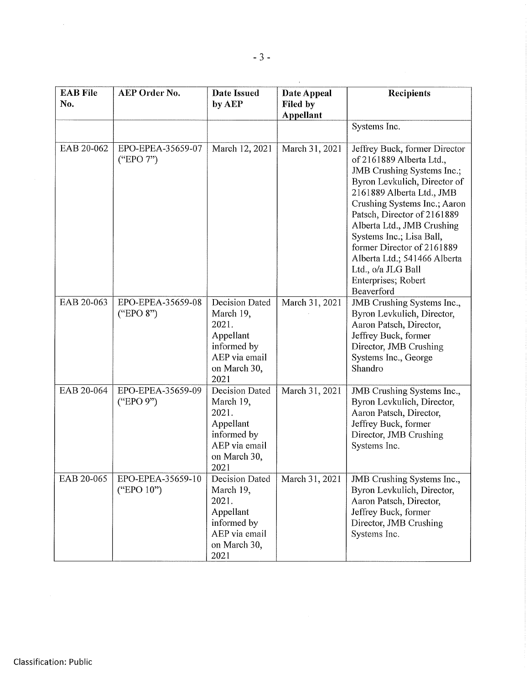| <b>EAB File</b><br>No. | AEP Order No.                   | <b>Date Issued</b><br>by AEP                                                                                     | Date Appeal<br>Filed by<br><b>Appellant</b> | <b>Recipients</b>                                                                                                                                                                                                                                                                                                                                                                                      |
|------------------------|---------------------------------|------------------------------------------------------------------------------------------------------------------|---------------------------------------------|--------------------------------------------------------------------------------------------------------------------------------------------------------------------------------------------------------------------------------------------------------------------------------------------------------------------------------------------------------------------------------------------------------|
|                        |                                 |                                                                                                                  |                                             | Systems Inc.                                                                                                                                                                                                                                                                                                                                                                                           |
| EAB 20-062             | EPO-EPEA-35659-07<br>("EPO 7")  | March 12, 2021                                                                                                   | March 31, 2021                              | Jeffrey Buck, former Director<br>of 2161889 Alberta Ltd.,<br>JMB Crushing Systems Inc.;<br>Byron Levkulich, Director of<br>2161889 Alberta Ltd., JMB<br>Crushing Systems Inc.; Aaron<br>Patsch, Director of 2161889<br>Alberta Ltd., JMB Crushing<br>Systems Inc.; Lisa Ball,<br>former Director of 2161889<br>Alberta Ltd.; 541466 Alberta<br>Ltd., o/a JLG Ball<br>Enterprises; Robert<br>Beaverford |
| EAB 20-063             | EPO-EPEA-35659-08<br>("EPO 8")  | <b>Decision Dated</b><br>March 19,<br>2021.<br>Appellant<br>informed by<br>AEP via email<br>on March 30,<br>2021 | March 31, 2021                              | JMB Crushing Systems Inc.,<br>Byron Levkulich, Director,<br>Aaron Patsch, Director,<br>Jeffrey Buck, former<br>Director, JMB Crushing<br>Systems Inc., George<br>Shandro                                                                                                                                                                                                                               |
| EAB 20-064             | EPO-EPEA-35659-09<br>("EPO 9")  | Decision Dated<br>March 19,<br>2021.<br>Appellant<br>informed by<br>AEP via email<br>on March 30,<br>2021        | March 31, 2021                              | JMB Crushing Systems Inc.,<br>Byron Levkulich, Director,<br>Aaron Patsch, Director,<br>Jeffrey Buck, former<br>Director, JMB Crushing<br>Systems Inc.                                                                                                                                                                                                                                                  |
| EAB 20-065             | EPO-EPEA-35659-10<br>("EPO 10") | Decision Dated<br>March 19,<br>2021.<br>Appellant<br>informed by<br>AEP via email<br>on March 30,<br>2021        | March 31, 2021                              | JMB Crushing Systems Inc.,<br>Byron Levkulich, Director,<br>Aaron Patsch, Director,<br>Jeffrey Buck, former<br>Director, JMB Crushing<br>Systems Inc.                                                                                                                                                                                                                                                  |

 $\sim$   $\sim$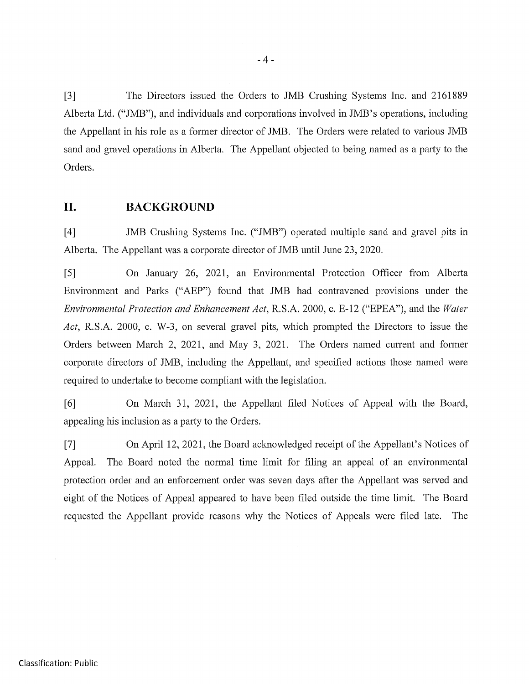[3] The Directors issued the Orders to JMB Crushing Systems Inc. and 2161889 Alberta Ltd. ("JMB"), and individuals and corporations involved in JMB's operations, including the Appellant in his role as a former director of JMB. The Orders were related to various JMB sand and gravel operations in Alberta. The Appellant objected to being named as a party to the Orders.

### II. BACKGROUND

[4] JMB Crushing Systems Inc. ("JMB") operated multiple sand and gravel pits in Alberta. The Appellant was a corporate director of JMB until June 23, 2020.

[5] On January 26, 2021, an Environmental Protection Officer from Alberta Environment and Parks ("AEP") found that JMB had contravened provisions under the Environmental Protection and Enhancement Act, R.S.A. 2000, c. E-12 ("EPEA"), and the Water Act, R.S.A. 2000, c. W-3, on several gravel pits, which prompted the Directors to issue the Orders between March 2, 2021, and May 3, 2021. The Orders named current and former corporate directors of JMB, including the Appellant, and specified actions those named were required to undertake to become compliant with the legislation.

[6] On March 31, 2021, the Appellant filed Notices of Appeal with the Board, appealing his inclusion as a party to the Orders.

[7] On April 12, 2021, the Board acknowledged receipt of the Appellant's Notices of Appeal. The Board noted the normal time limit for filing an appeal of an environmental protection order and an enforcement order was seven days after the Appellant was served and eight of the Notices of Appeal appeared to have been filed outside the time limit. The Board requested the Appellant provide reasons why the Notices of Appeals were filed late. The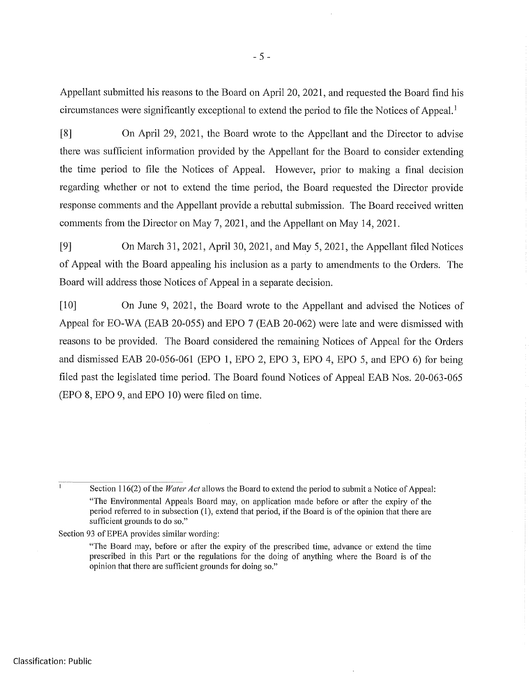Appellant submitted his reasons to the Board on April 20, 2021, and requested the Board find his circumstances were significantly exceptional to extend the period to file the Notices of Appeal.

[8] On April 29, 2021, the Board wrote to the Appellant and the Director to advise there was sufficient information provided by the Appellant for the Board to consider extending the time period to file the Notices of Appeal. However, prior to making a final decision regarding whether or not to extend the time period, the Board requested the Director provide response comments and the Appellant provide a rebuttal submission. The Board received written comments from the Director on May 7, 2021, and the Appellant on May 14, 2021.

[9] On March 31, 2021, April 30, 2021, and May 5,2021, the Appellant filed Notices of Appeal with the Board appealing his inclusion as a party to amendments to the Orders. The Board will address those Notices of Appeal in a separate decision.

[10] On June 9, 2021, the Board wrote to the Appellant and advised the Notices of Appeal for EO-WA (EAB 20-055) and EPO 7 (EAB 20-062) were late and were dismissed with reasons to be provided. The Board considered the remaining Notices of Appeal for the Orders and dismissed EAB 20-056-061 (EPO 1, EPO 2, EPO 3, EPO 4, EPO 5, and EPO 6) for being filed past the legislated time period. The Board found Notices of Appeal EAB Nos. 20-063-065 (EPO 8, EPO 9, and EPO 10) were filed on time.

Section 93 of EPEA provides similar wording:

<sup>&</sup>lt;sup>1</sup> Section 116(2) of the *Water Act* allows the Board to extend the period to submit a Notice of Appeal: "The Environmental Appeals Board may, on application made before or after the expiry of the period referred to in subsection (1), extend that period, if the Board is of the opinion that there are sufficient grounds to do so."

<sup>&</sup>quot;The Board may, before or after the expiry of the prescribed time, advance or extend the time prescribed in this Part or the regulations for the doing of anything where the Board is of the opinion that there are sufficient grounds for doing so."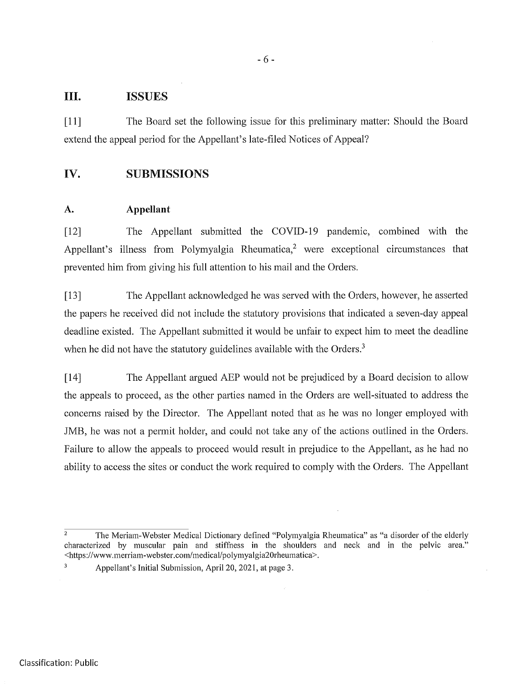#### III. ISSUES

[11] The Board set the following issue for this preliminary matter: Should the Board extend the appeal period for the Appellant's late-filed Notices of Appeal?

### IV. SUBMISSIONS

#### A. Appellant

[12] The Appellant submitted the COVID-19 pandemic, combined with the Appellant's illness from Polymyalgia Rheumatica, $<sup>2</sup>$  were exceptional circumstances that</sup> prevented him from giving his full attention to his mail and the Orders.

[13] The Appellant acknowledged he was served with the Orders, however, he asserted the papers he received did not include the statutory provisions that indicated a seven-day appeal deadline existed. The Appellant submitted it would be unfair to expect him to meet the deadline when he did not have the statutory guidelines available with the Orders.<sup>3</sup>

[14] The Appellant argued AEP would not be prejudiced by a Board decision to allow the appeals to proceed, as the other parties named in the Orders are well-situated to address the concerns raised by the Director. The Appellant noted that as he was no longer employed with JMB, he was not a permit holder, and could not take any of the actions outlined in the Orders. Failure to allow the appeals to proceed would result in prejudice to the Appellant, as he had no ability to access the sites or conduct the work required to comply with the Orders. The Appellant

 $\overline{a}$  The Meriam-Webster Medical Dictionary defined "Polymyalgia Rheumatica" as "a disorder of the elderly characterized by muscular pain and stiffness in the shoulders and neck and in the pelvic area." <https://www.merriam-webster.com/medical/polymyalgia20rheumatica>.

<sup>&</sup>lt;sup>3</sup> Appellant's Initial Submission, April 20, 2021, at page 3.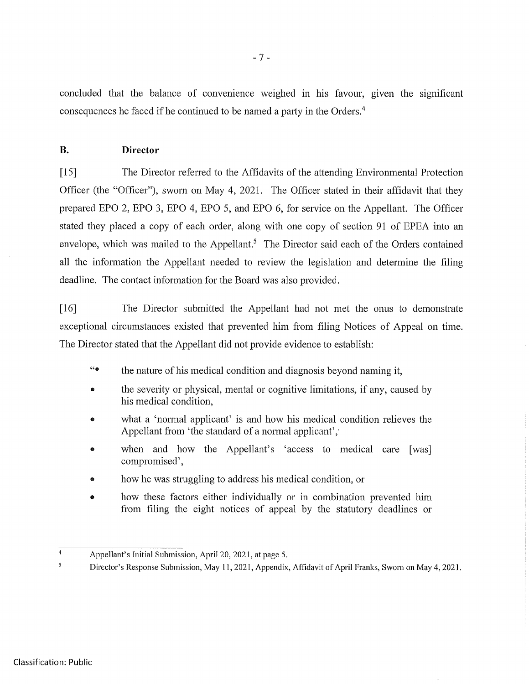concluded that the balance of convenience weighed in his favour, given the significant consequences he faced if he continued to be named a party in the Orders.4

#### B. Director

[15] The Director referred to the Affidavits of the attending Environmental Protection Officer (the "Officer"), sworn on May 4, 2021. The Officer stated in their affidavit that they prepared EPO 2, EPO 3, EPO 4, EPO 5, and EPO 6, for service on the Appellant. The Officer stated they placed a copy of each order, along with one copy of section 91 of EPEA into an envelope, which was mailed to the Appellant.<sup>5</sup> The Director said each of the Orders contained all the information the Appellant needed to review the legislation and determine the filing deadline. The contact information for the Board was also provided.

[16] The Director submitted the Appellant had not met the onus to demonstrate exceptional circumstances existed that prevented him from filing Notices of Appeal on time. The Director stated that the Appellant did not provide evidence to establish:

- "® the nature of his medical condition and diagnosis beyond naming it,
- the severity or physical, mental or cognitive limitations, if any, caused by his medical condition,
- what a 'normal applicant' is and how his medical condition relieves the Appellant from 'the standard of a normal applicant','
- when and how the Appellant's 'access to medical care [was] compromised',
- how he was struggling to address his medical condition, or
- how these factors either individually or in combination prevented him from filing the eight notices of appeal by the statutory deadlines or

<sup>4</sup> Appellant's Initial Submission, April 20,2021,at page 5.

<sup>5</sup> Director's Response Submission, May 11,2021, Appendix, Affidavit of April Franks, Sworn on May 4, 2021.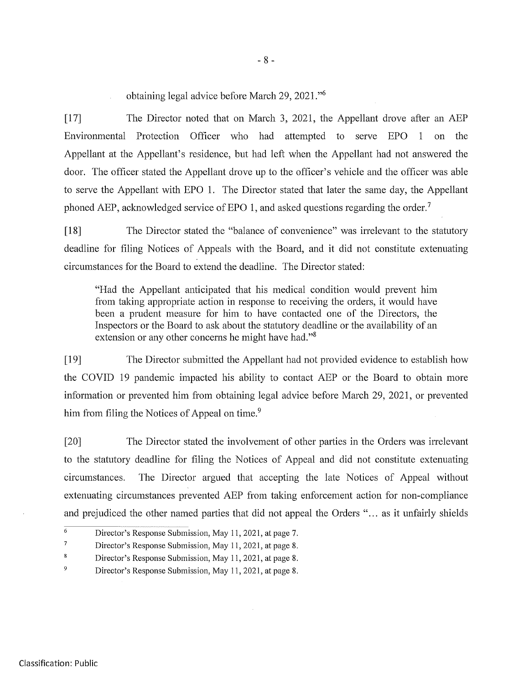obtaining legal advice before March 29, 2021."6

[17] The Director noted that on March 3, 2021, the Appellant drove after an AEP Environmental Protection Officer who had attempted to serve EPO 1 on the Appellant at the Appellant's residence, but had left when the Appellant had not answered the door. The officer stated the Appellant drove up to the officer's vehicle and the officer was able to serve the Appellant with EPO 1. The Director stated that later the same day, the Appellant phoned AEP, acknowledged service of EPO 1, and asked questions regarding the order.<sup>7</sup>

[18] The Director stated the "balance of convenience" was irrelevant to the statutory deadline for filing Notices of Appeals with the Board, and it did not constitute extenuating circumstances for the Board to extend the deadline. The Director stated:

"Had the Appellant anticipated that his medical condition would prevent him from taking appropriate action in response to receiving the orders, it would have been a prudent measure for him to have contacted one of the Directors, the Inspectors or the Board to ask about the statutory deadline or the availability of an extension or any other concerns he might have had."<sup>8</sup>

[19] The Director submitted the Appellant had not provided evidence to establish how the COVID 19 pandemic impacted his ability to contact AEP or the Board to obtain more information or prevented him from obtaining legal advice before March 29, 2021, or prevented him from filing the Notices of Appeal on time.<sup>9</sup>

[20] The Director stated the involvement of other parties in the Orders was irrelevant to the statutory deadline for filing the Notices of Appeal and did not constitute extenuating circumstances. The Director argued that accepting the late Notices of Appeal without extenuating circumstances prevented AEP from taking enforcement action for non-compliance and prejudiced the other named parties that did not appeal the Orders "... as it unfairly shields

 $\overline{6}$  Director's Response Submission, May 11, 2021, at page 7.

 $7 \quad$  Director's Response Submission, May 11, 2021, at page 8.

<sup>8</sup> Director's Response Submission, May 11,2021,at page 8.

<sup>&</sup>lt;sup>9</sup> Director's Response Submission, May 11, 2021, at page 8.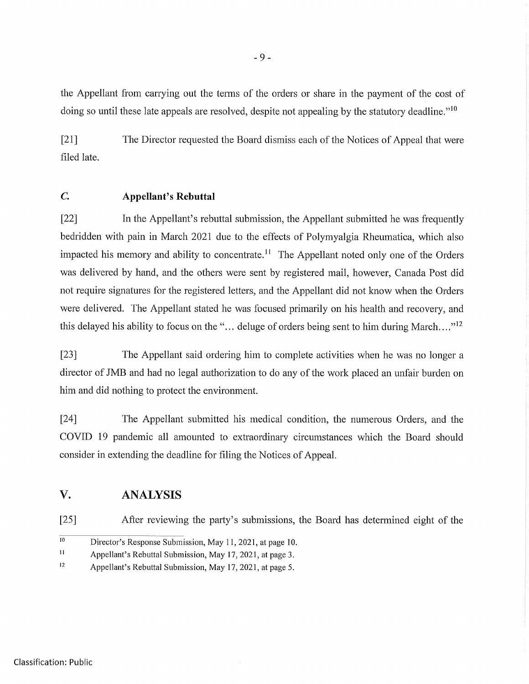the Appellant from carrying out the terms of the orders or share in the payment of the cost of doing so until these late appeals are resolved, despite not appealing by the statutory deadline."<sup>10</sup>

[21] The Director requested the Board dismiss each of the Notices of Appeal that were filed late.

### C. Appellant's Rebuttal

[22] In the Appellant's rebuttal submission, the Appellant submitted he was frequently bedridden with pain in March 2021 due to the effects of Polymyalgia Rheumatica, which also impacted his memory and ability to concentrate.<sup> $11$ </sup> The Appellant noted only one of the Orders was delivered by hand, and the others were sent by registered mail, however, Canada Post did not require signatures for the registered letters, and the Appellant did not know when the Orders were delivered. The Appellant stated he was focused primarily on his health and recovery, and this delayed his ability to focus on the "... deluge of orders being sent to him during March...."<sup>12</sup>

[23] The Appellant said ordering him to complete activities when he was no longer a director of JMB and had no legal authorization to do any of the work placed an unfair burden on him and did nothing to protect the environment.

[24] The Appellant submitted his medical condition, the numerous Orders, and the COVID 19 pandemic all amounted to extraordinary circumstances which the Board should consider in extending the deadline for filing the Notices of Appeal.

## V. ANALYSIS

[25] After reviewing the party's submissions, the Board has determined eight of the

 $\overline{10}$ Director's Response Submission, May 11, 2021, at page 10.

<sup>11</sup> Appellant's Rebuttal Submission, May 17, 2021, at page 3.

<sup>12</sup> Appellant's Rebuttal Submission, May 17, 2021, at page 5.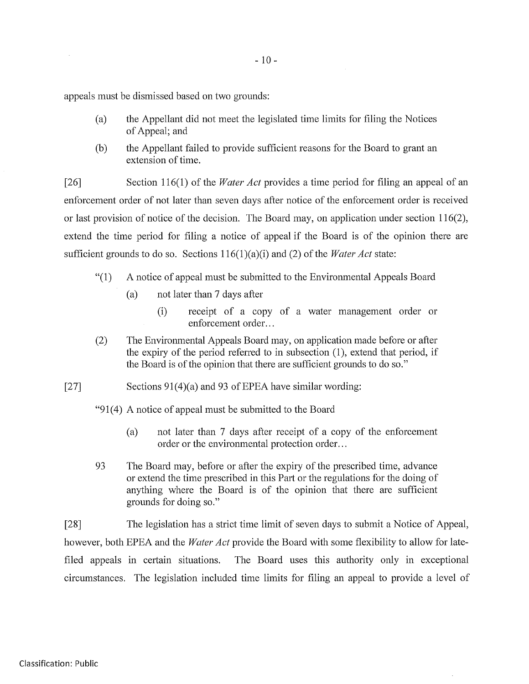appeals must be dismissed based on two grounds:

- (a) the Appellant did not meet the legislated time limits for filing the Notices of Appeal; and
- (b) the Appellant failed to provide sufficient reasons for the Board to grant an extension of time.

[26] Section 116(1) of the *Water Act* provides a time period for filing an appeal of an enforcement order of not later than seven days after notice of the enforcement order is received or last provision of notice of the decision. The Board may, on application under section 116(2), extend the time period for filing a notice of appeal if the Board is of the opinion there are sufficient grounds to do so. Sections  $116(1)(a)(i)$  and (2) of the *Water Act* state:

- "(I) A notice of appeal must be submitted to the Environmental Appeals Board
	- (a) not later than 7 days after
		- (i) receipt of a copy of a water management order or enforcement order...
- (2) The Environmental Appeals Board may, on application made before or after the expiry of the period referred to in subsection (1), extend that period, if the Board is of the opinion that there are sufficient grounds to do so."
- [27] Sections  $91(4)(a)$  and 93 of EPEA have similar wording:
	- "91(4) A notice of appeal must be submitted to the Board
		- (a) not later than 7 days after receipt of a copy of the enforcement order or the environmental protection order...
	- 93 The Board may, before or after the expiry of the prescribed time, advance or extend the time prescribed in this Part or the regulations for the doing of anything where the Board is of the opinion that there are sufficient grounds for doing so."

[28] The legislation has a strict time limit of seven days to submit a Notice of Appeal, however, both EPEA and the *Water Act* provide the Board with some flexibility to allow for latefiled appeals in certain situations. The Board uses this authority only in exceptional circumstances. The legislation included time limits for filing an appeal to provide a level of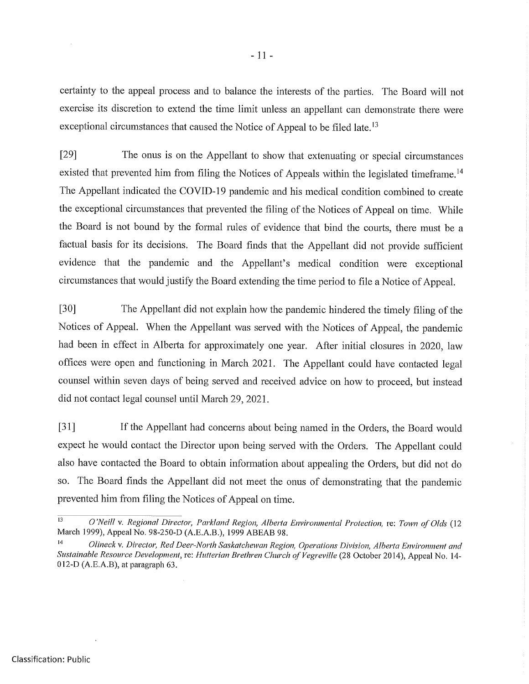certainty to the appeal process and to balance the interests of the parties. The Board will not exercise its discretion to extend the time limit unless an appellant can demonstrate there were exceptional circumstances that caused the Notice of Appeal to be filed late.<sup>13</sup>

[29] The onus is on the Appellant to show that extenuating or special circumstances existed that prevented him from filing the Notices of Appeals within the legislated timeframe.<sup>14</sup> The Appellant indicated the COVID-19 pandemic and his medical condition combined to create the exceptional circumstances that prevented the filing of the Notices of Appeal on time. While the Board is not bound by the formal rules of evidence that bind the courts, there must be a factual basis for its decisions. The Board finds that the Appellant did not provide sufficient evidence that the pandemic and the Appellant's medical condition were exceptional circumstances that would justify the Board extending the time period to file a Notice of Appeal.

[30] The Appellant did not explain how the pandemic hindered the timely filing of the Notices of Appeal. When the Appellant was served with the Notices of Appeal, the pandemic had been in effect in Alberta for approximately one year. After initial closures in 2020, law offices were open and functioning in March 2021. The Appellant could have contacted legal counsel within seven days of being served and received advice on how to proceed, but instead did not contact legal counsel until March 29, 2021.

[31] If the Appellant had concerns about being named in the Orders, the Board would expect he would contact the Director upon being served with the Orders. The Appellant could also have contacted the Board to obtain information about appealing the Orders, but did not do so. The Board finds the Appellant did not meet the onus of demonstrating that the pandemic prevented him from filing the Notices of Appeal on time.

<sup>13</sup> O'Neil! v. Regional Director, Parkland Region, Alberta Environmental Protection, re: Town of Olds (12 March 1999), Appeal No. 98-250-D (A.E.A.B.), 1999 ABEAB 98.<br><sup>14</sup> Olineck y Divector, Red Deer North Saskatehouen Begis

Olineck v. Director, Red Deer-North Saskatchewan Region, Operations Division, Alberta Environment and Siistainable Resource Development, re: Hutterian Brethren Church of Vegreville (28 October 2014), Appeal No. 14- 012-D (A.E.A.B), at paragraph 63.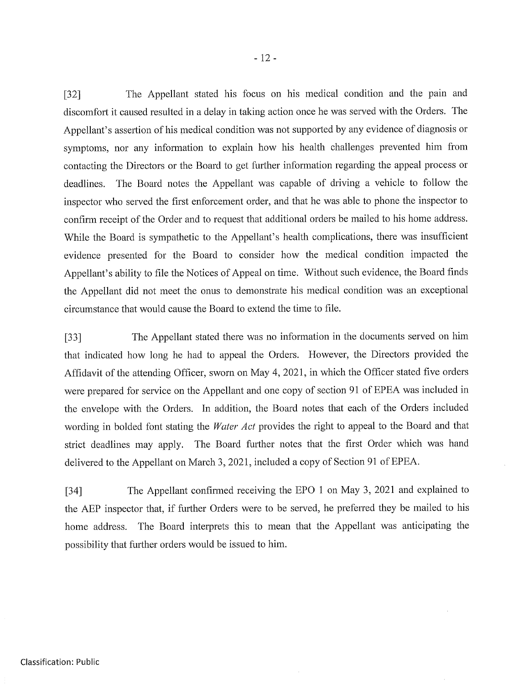[32] The Appellant stated his focus on his medical condition and the pain and discomfort it caused resulted in a delay in taking action once he was served with the Orders. The Appellant's assertion of his medical condition was not supported by any evidence of diagnosis or symptoms, nor any information to explain how his health challenges prevented him from contacting the Directors or the Board to get further information regarding the appeal process or deadlines. The Board notes the Appellant was capable of driving a vehicle to follow the inspector who served the first enforcement order, and that he was able to phone the inspector to confirm receipt of the Order and to request that additional orders be mailed to his home address. While the Board is sympathetic to the Appellant's health complications, there was insufficient evidence presented for the Board to consider how the medical condition impacted the Appellant's ability to file the Notices of Appeal on time. Without such evidence, the Board finds the Appellant did not meet the onus to demonstrate his medical condition was an exceptional circumstance that would cause the Board to extend the time to file.

[33] The Appellant stated there was no information in the documents served on him that indicated how long he had to appeal the Orders. However, the Directors provided the Affidavit of the attending Officer, sworn on May 4, 2021, in which the Officer stated five orders were prepared for service on the Appellant and one copy of section 91 of EPEA was included in the envelope with the Orders. In addition, the Board notes that each of the Orders included wording in bolded font stating the Water Act provides the right to appeal to the Board and that strict deadlines may apply. The Board further notes that the first Order which was hand delivered to the Appellant on March 3, 2021, included a copy of Section 91 of EPEA.

[34] The Appellant confirmed receiving the EPO 1 on May 3, 2021 and explained to the AEP inspector that, if further Orders were to be served, he preferred they be mailed to his home address. The Board interprets this to mean that the Appellant was anticipating the possibility that further orders would be issued to him.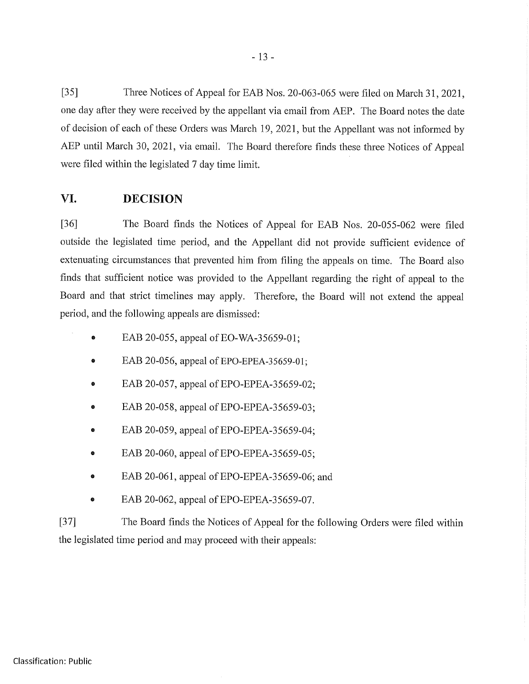[35] Three Notices of Appeal for EAB Nos. 20-063-065 were filed on March 31, 2021, one day after they were received by the appellant via email from AEP. The Board notes the date of decision of each of these Orders was March 19, 2021, but the Appellant was not informed by AEP until March 30, 2021, via email. The Board therefore finds these three Notices of Appeal were filed within the legislated 7 day time limit.

## VI. DECISION

[36] The Board finds the Notices of Appeal for EAB Nos. 20-055-062 were filed outside the legislated time period, and the Appellant did not provide sufficient evidence of extenuating circumstances that prevented him from filing the appeals on time. The Board also finds that sufficient notice was provided to the Appellant regarding the right of appeal to the Board and that strict timelines may apply. Therefore, the Board will not extend the appeal period, and the following appeals are dismissed:

- $\bullet$ EAB 20-055, appeal of EO-WA-35659-01;
- EAB 20-056, appeal of EPO-EPEA-35659-01;
- EAB 20-057, appeal of EPO-EPEA-35659-02;
- EAB 20-058, appeal of EPO-EPEA-35659-03;  $\bullet$
- EAB 20-059, appeal of EPO-EPEA-35659-04;
- EAB 20-060, appeal of EPO-EPEA-3 5659-05;
- EAB 20-061, appeal of EPO-EPEA-35659-06; and  $\bullet$
- EAB 20-062, appeal of EPO-EPEA-35659-07.

[37] The Board finds the Notices of Appeal for the following Orders were filed within the legislated time period and may proceed with their appeals: